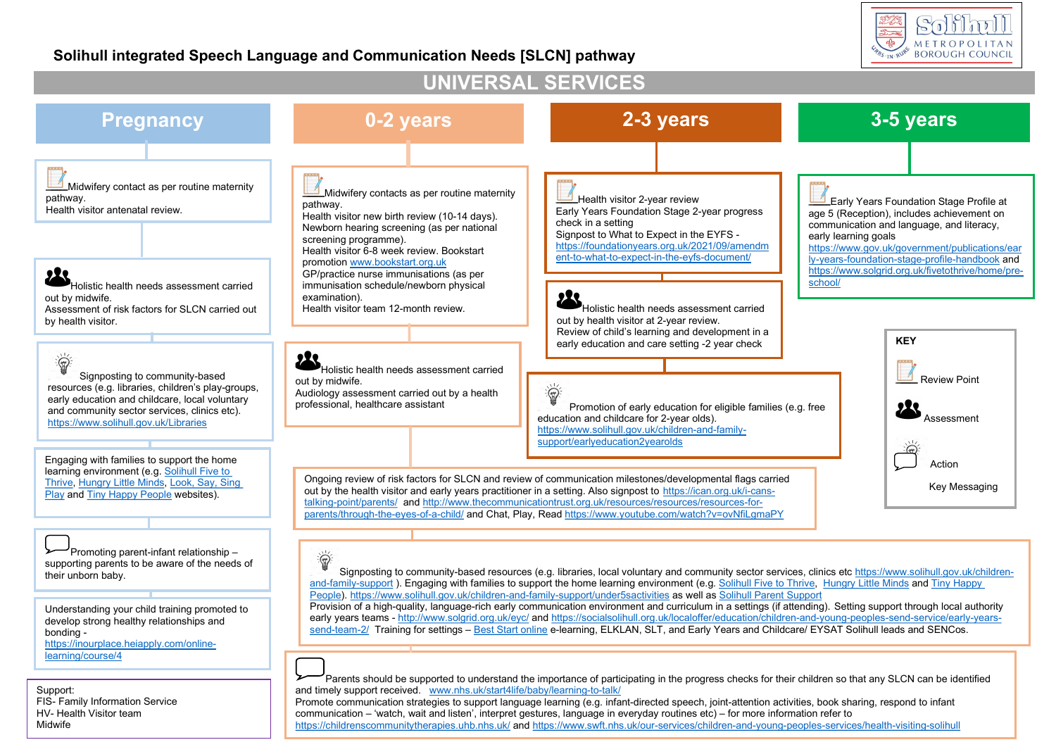## Soliml METROPOLITAN **CABS IN RUPS**

## Solihull integrated Speech Language and Communication Needs [SLCN] pathway

#### UNIVERSAL SERVICES Pregnancy **19 CM** 0-2 years **2-3 years 2-3 years 3-5 years** Midwifery contact as per routine maternity Midwifery contacts as per routine maternity pathway. Health visitor 2-year review Early Years Foundation Stage Profile at pathway. Health visitor antenatal review. Early Years Foundation Stage 2-year progress age 5 (Reception), includes achievement on Health visitor new birth review (10-14 days). check in a setting communication and language, and literacy, Newborn hearing screening (as per national Signpost to What to Expect in the EYFS early learning goals screening programme). https://foundationyears.org.uk/2021/09/amendm https://www.gov.uk/government/publications/ear Health visitor 6-8 week review. Bookstart ent-to-what-to-expect-in-the-eyfs-document/ ly-years-foundation-stage-profile-handbook and promotion www.bookstart.org.uk https://www.solgrid.org.uk/fivetothrive/home/pre-Belle the distribution of the distribution of the distribution of the distribution of the distribution of the distribution of the distribution of the distribution of the distribution of the distribution of the distribution GP/practice nurse immunisations (as per immunisation schedule/newborn physical examination). out by midwife. Health visitor team 12-month review. Holistic health needs assessment carried Assessment of risk factors for SLCN carried out by health visitor. out by health visitor at 2-year review. Review of child's learning and development in a KEY early education and care setting -2 year check 道 Holistic health needs assessment carried Signposting to community-based Review Point out by midwife. 道 resources (e.g. libraries, children's play-groups, Audiology assessment carried out by a health early education and childcare, local voluntary professional, healthcare assistant Promotion of early education for eligible families (e.g. free and community sector services, clinics etc). education and childcare for 2-year olds). Assessment https://www.solihull.gov.uk/Libraries https://www.solihull.gov.uk/children-and-familysupport/earlyeducation2yearolds Engaging with families to support the home Action learning environment (e.g. Solihull Five to Ongoing review of risk factors for SLCN and review of communication milestones/developmental flags carried Thrive, Hungry Little Minds, Look, Say, Sing Key Messaging out by the health visitor and early years practitioner in a setting. Also signpost to https://ican.org.uk/i-cans-Play and Tiny Happy People websites). talking-point/parents/ and http://www.thecommunicationtrust.org.uk/resources/resources/resources-forparents/through-the-eyes-of-a-child/ and Chat, Play, Read https://www.youtube.com/watch?v=ovNfiLgmaPY Promoting parent-infant relationship – 道 supporting parents to be aware of the needs of Signposting to community-based resources (e.g. libraries, local voluntary and community sector services, clinics etc https://www.solihull.gov.uk/childrentheir unborn baby. and-family-support ). Engaging with families to support the home learning environment (e.g. Solihull Five to Thrive, Hungry Little Minds and Tiny Happy People). https://www.solihull.gov.uk/children-and-family-support/under5sactivities as well as Solihull Parent Support Provision of a high-quality, language-rich early communication environment and curriculum in a settings (if attending). Setting support through local authority Understanding your child training promoted to early years teams - http://www.solgrid.org.uk/eyc/ and https://socialsolihull.org.uk/localoffer/education/children-and-young-peoples-send-service/early-yearsdevelop strong healthy relationships and send-team-2/ Training for settings – Best Start online e-learning, ELKLAN, SLT, and Early Years and Childcare/ EYSAT Solihull leads and SENCos. bonding https://inourplace.heiapply.com/onlinelearning/course/4 Parents should be supported to understand the importance of participating in the progress checks for their children so that any SLCN can be identified and timely support received. www.nhs.uk/start4life/baby/learning-to-talk/

Support: FIS- Family Information Service HV- Health Visitor team **Midwife** 

Promote communication strategies to support language learning (e.g. infant-directed speech, joint-attention activities, book sharing, respond to infant communication – 'watch, wait and listen', interpret gestures, language in everyday routines etc) – for more information refer to

https://childrenscommunitytherapies.uhb.nhs.uk/ and https://www.swft.nhs.uk/our-services/children-and-young-peoples-services/health-visiting-solihull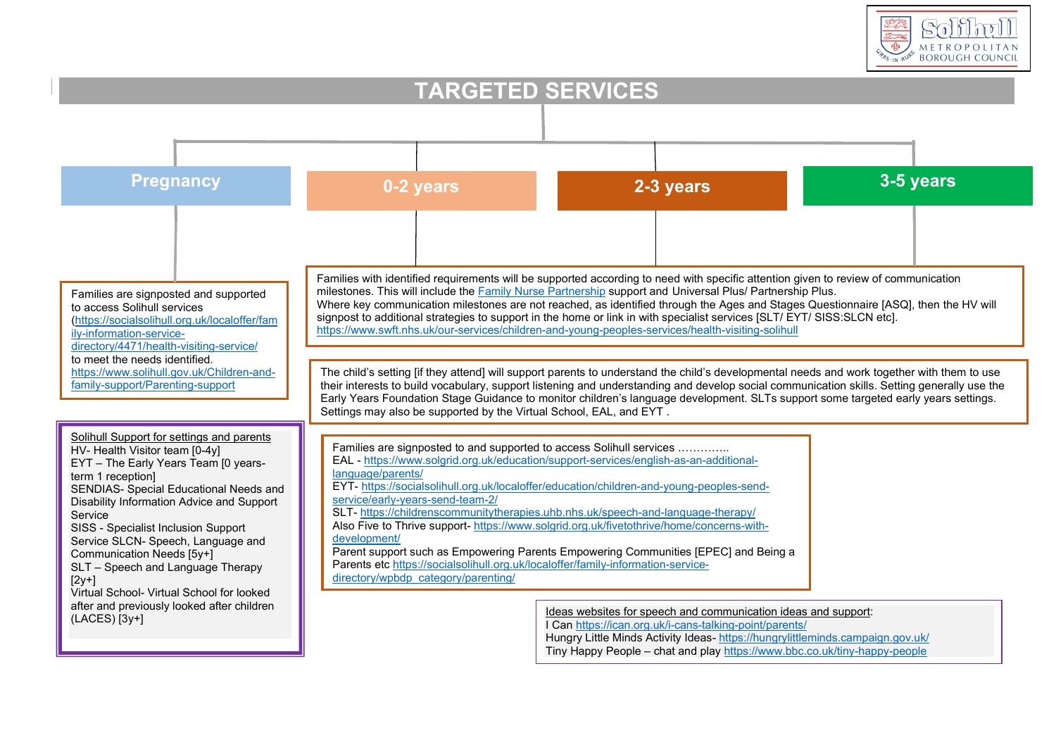